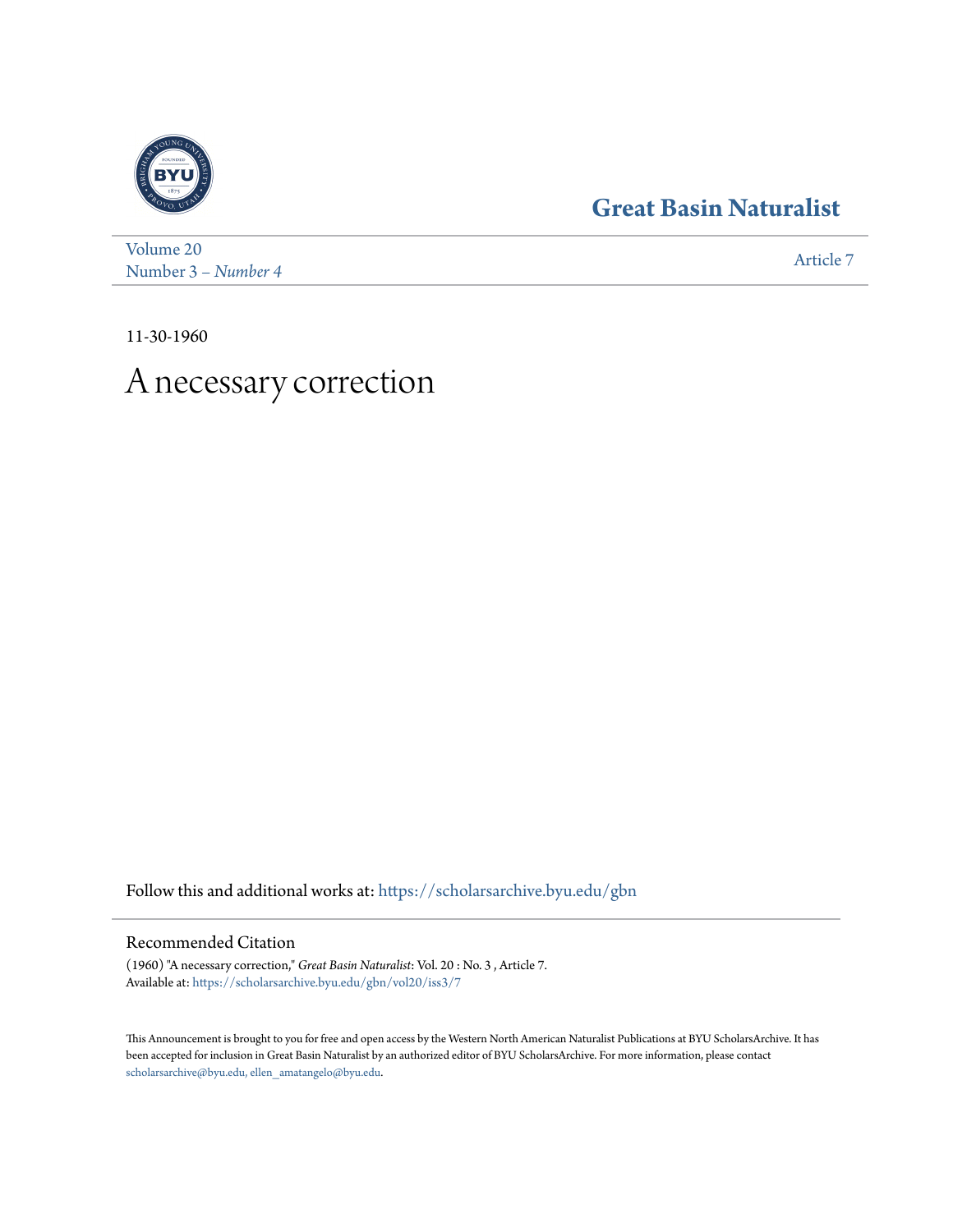## **[Great Basin Naturalist](https://scholarsarchive.byu.edu/gbn?utm_source=scholarsarchive.byu.edu%2Fgbn%2Fvol20%2Fiss3%2F7&utm_medium=PDF&utm_campaign=PDFCoverPages)**



[Volume 20](https://scholarsarchive.byu.edu/gbn/vol20?utm_source=scholarsarchive.byu.edu%2Fgbn%2Fvol20%2Fiss3%2F7&utm_medium=PDF&utm_campaign=PDFCoverPages) Number 3 [– Number 4](https://scholarsarchive.byu.edu/gbn/vol20/iss3?utm_source=scholarsarchive.byu.edu%2Fgbn%2Fvol20%2Fiss3%2F7&utm_medium=PDF&utm_campaign=PDFCoverPages) and 1988 and 1988 and 1988 and 1988 and 1988 and 1988 and 1988 and 1988 and 1988 and 1988 and 1988 and 1988 and 1988 and 1988 and 1988 and 1988 and 1988 and 1988 and 1988 and 1988 and 1988 and 1988 and

11-30-1960

## A necessary correction

Follow this and additional works at: [https://scholarsarchive.byu.edu/gbn](https://scholarsarchive.byu.edu/gbn?utm_source=scholarsarchive.byu.edu%2Fgbn%2Fvol20%2Fiss3%2F7&utm_medium=PDF&utm_campaign=PDFCoverPages)

## Recommended Citation

(1960) "A necessary correction," *Great Basin Naturalist*: Vol. 20 : No. 3 , Article 7. Available at: [https://scholarsarchive.byu.edu/gbn/vol20/iss3/7](https://scholarsarchive.byu.edu/gbn/vol20/iss3/7?utm_source=scholarsarchive.byu.edu%2Fgbn%2Fvol20%2Fiss3%2F7&utm_medium=PDF&utm_campaign=PDFCoverPages)

This Announcement is brought to you for free and open access by the Western North American Naturalist Publications at BYU ScholarsArchive. It has been accepted for inclusion in Great Basin Naturalist by an authorized editor of BYU ScholarsArchive. For more information, please contact [scholarsarchive@byu.edu, ellen\\_amatangelo@byu.edu.](mailto:scholarsarchive@byu.edu,%20ellen_amatangelo@byu.edu)